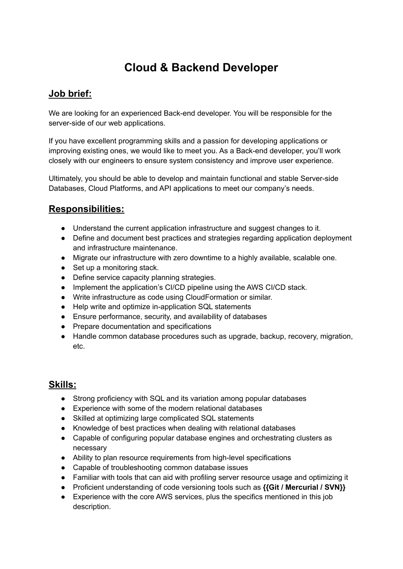## **Cloud & Backend Developer**

## **Job brief:**

We are looking for an experienced Back-end developer. You will be responsible for the server-side of our web applications.

If you have excellent programming skills and a passion for developing applications or improving existing ones, we would like to meet you. As a Back-end developer, you'll work closely with our engineers to ensure system consistency and improve user experience.

Ultimately, you should be able to develop and maintain functional and stable Server-side Databases, Cloud Platforms, and API applications to meet our company's needs.

## **Responsibilities:**

- Understand the current application infrastructure and suggest changes to it.
- Define and document best practices and strategies regarding application deployment and infrastructure maintenance.
- Migrate our infrastructure with zero downtime to a highly available, scalable one.
- Set up a monitoring stack.
- Define service capacity planning strategies.
- Implement the application's CI/CD pipeline using the AWS CI/CD stack.
- Write infrastructure as code using CloudFormation or similar.
- Help write and optimize in-application SQL statements
- Ensure performance, security, and availability of databases
- Prepare documentation and specifications
- Handle common database procedures such as upgrade, backup, recovery, migration, etc.

## **Skills:**

- Strong proficiency with SQL and its variation among popular databases
- Experience with some of the modern relational databases
- Skilled at optimizing large complicated SQL statements
- Knowledge of best practices when dealing with relational databases
- Capable of configuring popular database engines and orchestrating clusters as necessary
- Ability to plan resource requirements from high-level specifications
- Capable of troubleshooting common database issues
- Familiar with tools that can aid with profiling server resource usage and optimizing it
- Proficient understanding of code versioning tools such as **{{Git / Mercurial / SVN}}**
- Experience with the core AWS services, plus the specifics mentioned in this job description.